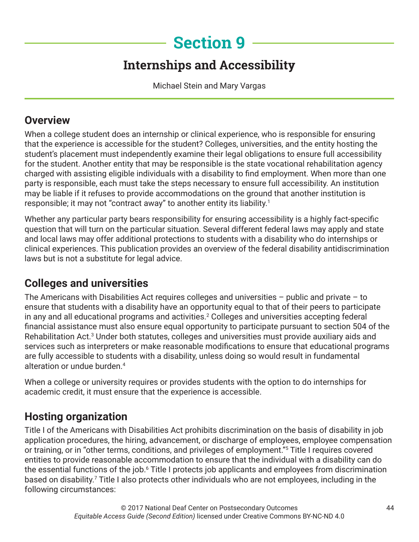# **Section 9**

## **Internships and Accessibility**

Michael Stein and Mary Vargas

### **Overview**

When a college student does an internship or clinical experience, who is responsible for ensuring that the experience is accessible for the student? Colleges, universities, and the entity hosting the student's placement must independently examine their legal obligations to ensure full accessibility for the student. Another entity that may be responsible is the state vocational rehabilitation agency charged with assisting eligible individuals with a disability to find employment. When more than one party is responsible, each must take the steps necessary to ensure full accessibility. An institution may be liable if it refuses to provide accommodations on the ground that another institution is responsible; it may not "contract away" to another entity its liability.1

Whether any particular party bears responsibility for ensuring accessibility is a highly fact-specific question that will turn on the particular situation. Several different federal laws may apply and state and local laws may offer additional protections to students with a disability who do internships or clinical experiences. This publication provides an overview of the federal disability antidiscrimination laws but is not a substitute for legal advice.

### **Colleges and universities**

The Americans with Disabilities Act requires colleges and universities  $-$  public and private  $-$  to ensure that students with a disability have an opportunity equal to that of their peers to participate in any and all educational programs and activities.<sup>2</sup> Colleges and universities accepting federal financial assistance must also ensure equal opportunity to participate pursuant to section 504 of the Rehabilitation Act.<sup>3</sup> Under both statutes, colleges and universities must provide auxiliary aids and services such as interpreters or make reasonable modifications to ensure that educational programs are fully accessible to students with a disability, unless doing so would result in fundamental alteration or undue burden.4

When a college or university requires or provides students with the option to do internships for academic credit, it must ensure that the experience is accessible.

## **Hosting organization**

Title I of the Americans with Disabilities Act prohibits discrimination on the basis of disability in job application procedures, the hiring, advancement, or discharge of employees, employee compensation or training, or in "other terms, conditions, and privileges of employment."5 Title I requires covered entities to provide reasonable accommodation to ensure that the individual with a disability can do the essential functions of the job.<sup>6</sup> Title I protects job applicants and employees from discrimination based on disability.<sup>7</sup> Title I also protects other individuals who are not employees, including in the following circumstances: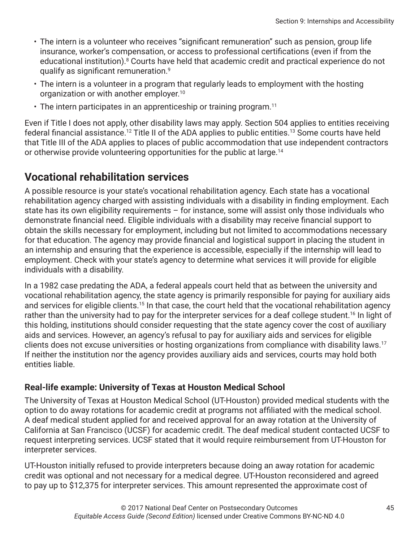- The intern is a volunteer who receives "significant remuneration" such as pension, group life insurance, worker's compensation, or access to professional certifications (even if from the educational institution).<sup>8</sup> Courts have held that academic credit and practical experience do not qualify as significant remuneration.<sup>9</sup>
- The intern is a volunteer in a program that regularly leads to employment with the hosting organization or with another employer.<sup>10</sup>
- $\cdot$  The intern participates in an apprenticeship or training program.<sup>11</sup>

Even if Title I does not apply, other disability laws may apply. Section 504 applies to entities receiving federal financial assistance.<sup>12</sup> Title II of the ADA applies to public entities.<sup>13</sup> Some courts have held that Title III of the ADA applies to places of public accommodation that use independent contractors or otherwise provide volunteering opportunities for the public at large.<sup>14</sup>

### **Vocational rehabilitation services**

A possible resource is your state's vocational rehabilitation agency. Each state has a vocational rehabilitation agency charged with assisting individuals with a disability in finding employment. Each state has its own eligibility requirements – for instance, some will assist only those individuals who demonstrate financial need. Eligible individuals with a disability may receive financial support to obtain the skills necessary for employment, including but not limited to accommodations necessary for that education. The agency may provide financial and logistical support in placing the student in an internship and ensuring that the experience is accessible, especially if the internship will lead to employment. Check with your state's agency to determine what services it will provide for eligible individuals with a disability.

In a 1982 case predating the ADA, a federal appeals court held that as between the university and vocational rehabilitation agency, the state agency is primarily responsible for paying for auxiliary aids and services for eligible clients.<sup>15</sup> In that case, the court held that the vocational rehabilitation agency rather than the university had to pay for the interpreter services for a deaf college student.<sup>16</sup> In light of this holding, institutions should consider requesting that the state agency cover the cost of auxiliary aids and services. However, an agency's refusal to pay for auxiliary aids and services for eligible clients does not excuse universities or hosting organizations from compliance with disability laws.17 If neither the institution nor the agency provides auxiliary aids and services, courts may hold both entities liable.

#### **Real-life example: University of Texas at Houston Medical School**

The University of Texas at Houston Medical School (UT-Houston) provided medical students with the option to do away rotations for academic credit at programs not affiliated with the medical school. A deaf medical student applied for and received approval for an away rotation at the University of California at San Francisco (UCSF) for academic credit. The deaf medical student contacted UCSF to request interpreting services. UCSF stated that it would require reimbursement from UT-Houston for interpreter services.

UT-Houston initially refused to provide interpreters because doing an away rotation for academic credit was optional and not necessary for a medical degree. UT-Houston reconsidered and agreed to pay up to \$12,375 for interpreter services. This amount represented the approximate cost of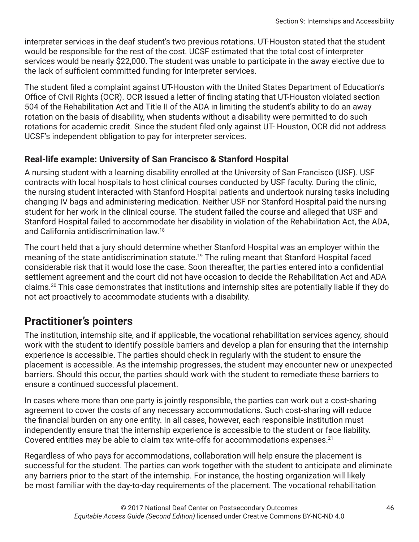interpreter services in the deaf student's two previous rotations. UT-Houston stated that the student would be responsible for the rest of the cost. UCSF estimated that the total cost of interpreter services would be nearly \$22,000. The student was unable to participate in the away elective due to the lack of sufficient committed funding for interpreter services.

The student filed a complaint against UT-Houston with the United States Department of Education's Office of Civil Rights (OCR). OCR issued a letter of finding stating that UT-Houston violated section 504 of the Rehabilitation Act and Title II of the ADA in limiting the student's ability to do an away rotation on the basis of disability, when students without a disability were permitted to do such rotations for academic credit. Since the student filed only against UT- Houston, OCR did not address UCSF's independent obligation to pay for interpreter services.

#### **Real-life example: University of San Francisco & Stanford Hospital**

A nursing student with a learning disability enrolled at the University of San Francisco (USF). USF contracts with local hospitals to host clinical courses conducted by USF faculty. During the clinic, the nursing student interacted with Stanford Hospital patients and undertook nursing tasks including changing IV bags and administering medication. Neither USF nor Stanford Hospital paid the nursing student for her work in the clinical course. The student failed the course and alleged that USF and Stanford Hospital failed to accommodate her disability in violation of the Rehabilitation Act, the ADA, and California antidiscrimination law.18

The court held that a jury should determine whether Stanford Hospital was an employer within the meaning of the state antidiscrimination statute.<sup>19</sup> The ruling meant that Stanford Hospital faced considerable risk that it would lose the case. Soon thereafter, the parties entered into a confidential settlement agreement and the court did not have occasion to decide the Rehabilitation Act and ADA claims.20 This case demonstrates that institutions and internship sites are potentially liable if they do not act proactively to accommodate students with a disability.

### **Practitioner's pointers**

The institution, internship site, and if applicable, the vocational rehabilitation services agency, should work with the student to identify possible barriers and develop a plan for ensuring that the internship experience is accessible. The parties should check in regularly with the student to ensure the placement is accessible. As the internship progresses, the student may encounter new or unexpected barriers. Should this occur, the parties should work with the student to remediate these barriers to ensure a continued successful placement.

In cases where more than one party is jointly responsible, the parties can work out a cost-sharing agreement to cover the costs of any necessary accommodations. Such cost-sharing will reduce the financial burden on any one entity. In all cases, however, each responsible institution must independently ensure that the internship experience is accessible to the student or face liability. Covered entities may be able to claim tax write-offs for accommodations expenses.<sup>21</sup>

Regardless of who pays for accommodations, collaboration will help ensure the placement is successful for the student. The parties can work together with the student to anticipate and eliminate any barriers prior to the start of the internship. For instance, the hosting organization will likely be most familiar with the day-to-day requirements of the placement. The vocational rehabilitation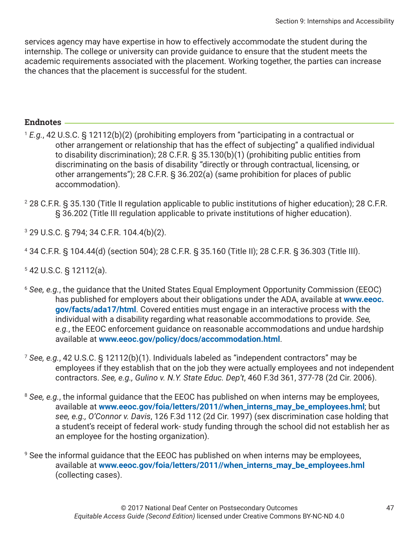services agency may have expertise in how to effectively accommodate the student during the internship. The college or university can provide guidance to ensure that the student meets the academic requirements associated with the placement. Working together, the parties can increase the chances that the placement is successful for the student.

#### **Endnotes**

- <sup>1</sup> *E.g.*, 42 U.S.C. § 12112(b)(2) (prohibiting employers from "participating in a contractual or other arrangement or relationship that has the effect of subjecting" a qualified individual to disability discrimination); 28 C.F.R. § 35.130(b)(1) (prohibiting public entities from discriminating on the basis of disability "directly or through contractual, licensing, or other arrangements"); 28 C.F.R. § 36.202(a) (same prohibition for places of public accommodation).
- 2 28 C.F.R. § 35.130 (Title II regulation applicable to public institutions of higher education); 28 C.F.R. § 36.202 (Title III regulation applicable to private institutions of higher education).
- 3 29 U.S.C. § 794; 34 C.F.R. 104.4(b)(2).
- 4 34 C.F.R. § 104.44(d) (section 504); 28 C.F.R. § 35.160 (Title II); 28 C.F.R. § 36.303 (Title III).
- 5 42 U.S.C. § 12112(a).
- <sup>6</sup> *See, e.g.*, the guidance that the United States Equal Employment Opportunity Commission (EEOC) has published for employers about their obligations under the ADA, available at **[www.eeoc.](http://www.eeoc.gov/facts/ada17/html) [gov/facts/ada17/html](http://www.eeoc.gov/facts/ada17/html)**. Covered entities must engage in an interactive process with the individual with a disability regarding what reasonable accommodations to provide. *See, e.g.*, the EEOC enforcement guidance on reasonable accommodations and undue hardship available at **[www.eeoc.gov/policy/docs/accommodation.html](http://www.eeoc.gov/policy/docs/accommodation.html)**.
- <sup>7</sup> *See, e.g.*, 42 U.S.C. § 12112(b)(1). Individuals labeled as "independent contractors" may be employees if they establish that on the job they were actually employees and not independent contractors. *See, e.g., Gulino v. N.Y. State Educ. Dep't*, 460 F.3d 361, 377-78 (2d Cir. 2006).
- <sup>8</sup> See, e.g., the informal guidance that the EEOC has published on when interns may be employees, available at **[www.eeoc.gov/foia/letters/2011//when\\_interns\\_may\\_be\\_employees.hml](http://www.eeoc.gov/foia/letters/2011//when_interns_may_be_employees.hml)**; but *see, e.g., O'Connor v. Davis*, 126 F.3d 112 (2d Cir. 1997) (sex discrimination case holding that a student's receipt of federal work- study funding through the school did not establish her as an employee for the hosting organization).
- 9 See the informal guidance that the EEOC has published on when interns may be employees, available at **[www.eeoc.gov/foia/letters/2011//when\\_interns\\_may\\_be\\_employees.hml](http://www.eeoc.gov/foia/letters/2011//when_interns_may_be_employees.hml)** (collecting cases).